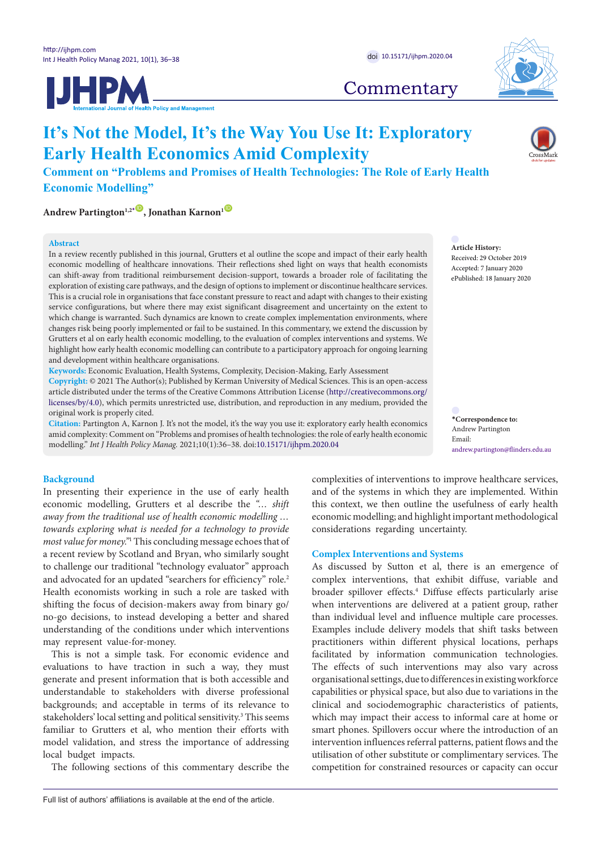**IJHPM** 



# **Commentary**

# **It's Not the Model, It's the Way You Use It: Exploratory Early Health Economics Amid Complexity**

**Comment on "Problems and Promises of Health Technologies: The Role of Early Health Economic Modelling"**

**Andrew Partington<sup>1,2</sub><sup>[\\*](#page-0-0)</sup><sup>O</sup>, Jonathan Karnon<sup>1</sup><sup>O</sup>**</sup>

#### **Abstract**

In a review recently published in this journal, Grutters et al outline the scope and impact of their early health economic modelling of healthcare innovations. Their reflections shed light on ways that health economists can shift-away from traditional reimbursement decision-support, towards a broader role of facilitating the exploration of existing care pathways, and the design of options to implement or discontinue healthcare services. This is a crucial role in organisations that face constant pressure to react and adapt with changes to their existing service configurations, but where there may exist significant disagreement and uncertainty on the extent to which change is warranted. Such dynamics are known to create complex implementation environments, where changes risk being poorly implemented or fail to be sustained. In this commentary, we extend the discussion by Grutters et al on early health economic modelling, to the evaluation of complex interventions and systems. We highlight how early health economic modelling can contribute to a participatory approach for ongoing learning and development within healthcare organisations.

**Keywords:** Economic Evaluation, Health Systems, Complexity, Decision-Making, Early Assessment **Copyright:** © 2021 The Author(s); Published by Kerman University of Medical Sciences. This is an open-access article distributed under the terms of the Creative Commons Attribution License [\(http://creativecommons.org/](http://creativecommons.org/licenses/by/4.0) [licenses/by/4.0](http://creativecommons.org/licenses/by/4.0)), which permits unrestricted use, distribution, and reproduction in any medium, provided the original work is properly cited.

**Citation:** Partington A, Karnon J. It's not the model, it's the way you use it: exploratory early health economics amid complexity: Comment on "Problems and promises of health technologies: the role of early health economic modelling." *Int J Health Policy Manag.* 2021;10(1):36–38. doi[:10.15171/ijhpm.2020.04](https://doi.org/10.15171/ijhpm.2020.04)

**Article History:** Received: 29 October 2019 Accepted: 7 January 2020 ePublished: 18 January 2020

<span id="page-0-0"></span>**\*Correspondence to:** Andrew Partington Email: andrew.partington@flinders.edu.au

# **Background**

In presenting their experience in the use of early health economic modelling, Grutters et al describe the *"… shift away from the traditional use of health economic modelling … towards exploring what is needed for a technology to provide most value for money."*<sup>1</sup> This concluding message echoes that of a recent review by Scotland and Bryan, who similarly sought to challenge our traditional "technology evaluator" approach and advocated for an updated "searchers for efficiency" role.<sup>2</sup> Health economists working in such a role are tasked with shifting the focus of decision-makers away from binary go/ no-go decisions, to instead developing a better and shared understanding of the conditions under which interventions may represent value-for-money.

This is not a simple task. For economic evidence and evaluations to have traction in such a way, they must generate and present information that is both accessible and understandable to stakeholders with diverse professional backgrounds; and acceptable in terms of its relevance to stakeholders' local setting and political sensitivity.<sup>3</sup> This seems familiar to Grutters et al, who mention their efforts with model validation, and stress the importance of addressing local budget impacts.

The following sections of this commentary describe the

complexities of interventions to improve healthcare services, and of the systems in which they are implemented. Within this context, we then outline the usefulness of early health economic modelling; and highlight important methodological considerations regarding uncertainty.

#### **Complex Interventions and Systems**

As discussed by Sutton et al, there is an emergence of complex interventions, that exhibit diffuse, variable and broader spillover effects.4 Diffuse effects particularly arise when interventions are delivered at a patient group, rather than individual level and influence multiple care processes. Examples include delivery models that shift tasks between practitioners within different physical locations, perhaps facilitated by information communication technologies. The effects of such interventions may also vary across organisational settings, due to differences in existing workforce capabilities or physical space, but also due to variations in the clinical and sociodemographic characteristics of patients, which may impact their access to informal care at home or smart phones. Spillovers occur where the introduction of an intervention influences referral patterns, patient flows and the utilisation of other substitute or complimentary services. The competition for constrained resources or capacity can occur

Full list of authors' affiliations is available at the end of the article.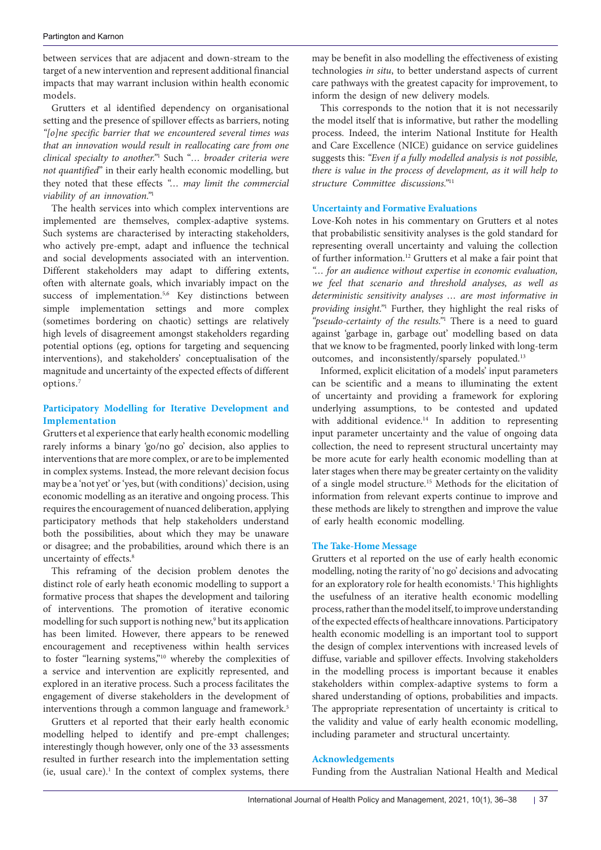between services that are adjacent and down-stream to the target of a new intervention and represent additional financial impacts that may warrant inclusion within health economic models.

Grutters et al identified dependency on organisational setting and the presence of spillover effects as barriers, noting *"[o]ne specific barrier that we encountered several times was that an innovation would result in reallocating care from one clinical specialty to another."*<sup>1</sup> Such "*… broader criteria were not quantified*" in their early health economic modelling, but they noted that these effects *"… may limit the commercial viability of an innovation."*<sup>1</sup>

The health services into which complex interventions are implemented are themselves, complex-adaptive systems. Such systems are characterised by interacting stakeholders, who actively pre-empt, adapt and influence the technical and social developments associated with an intervention. Different stakeholders may adapt to differing extents, often with alternate goals, which invariably impact on the success of implementation.<sup>5,6</sup> Key distinctions between simple implementation settings and more complex (sometimes bordering on chaotic) settings are relatively high levels of disagreement amongst stakeholders regarding potential options (eg, options for targeting and sequencing interventions), and stakeholders' conceptualisation of the magnitude and uncertainty of the expected effects of different options.7

# **Participatory Modelling for Iterative Development and Implementation**

Grutters et al experience that early health economic modelling rarely informs a binary 'go/no go' decision, also applies to interventions that are more complex, or are to be implemented in complex systems. Instead, the more relevant decision focus may be a 'not yet' or 'yes, but (with conditions)' decision, using economic modelling as an iterative and ongoing process. This requires the encouragement of nuanced deliberation, applying participatory methods that help stakeholders understand both the possibilities, about which they may be unaware or disagree; and the probabilities, around which there is an uncertainty of effects.<sup>8</sup>

This reframing of the decision problem denotes the distinct role of early heath economic modelling to support a formative process that shapes the development and tailoring of interventions. The promotion of iterative economic modelling for such support is nothing new,9 but its application has been limited. However, there appears to be renewed encouragement and receptiveness within health services to foster "learning systems,"10 whereby the complexities of a service and intervention are explicitly represented, and explored in an iterative process. Such a process facilitates the engagement of diverse stakeholders in the development of interventions through a common language and framework.<sup>5</sup>

Grutters et al reported that their early health economic modelling helped to identify and pre-empt challenges; interestingly though however, only one of the 33 assessments resulted in further research into the implementation setting  $(ie, usual care).<sup>1</sup>$  In the context of complex systems, there may be benefit in also modelling the effectiveness of existing technologies *in situ*, to better understand aspects of current care pathways with the greatest capacity for improvement, to inform the design of new delivery models.

This corresponds to the notion that it is not necessarily the model itself that is informative, but rather the modelling process. Indeed, the interim National Institute for Health and Care Excellence (NICE) guidance on service guidelines suggests this: *"Even if a fully modelled analysis is not possible, there is value in the process of development, as it will help to structure Committee discussions."*<sup>11</sup>

# **Uncertainty and Formative Evaluations**

Love-Koh notes in his commentary on Grutters et al notes that probabilistic sensitivity analyses is the gold standard for representing overall uncertainty and valuing the collection of further information.12 Grutters et al make a fair point that *"… for an audience without expertise in economic evaluation, we feel that scenario and threshold analyses, as well as deterministic sensitivity analyses … are most informative in providing insight."*<sup>1</sup> Further, they highlight the real risks of *"pseudo-certainty of the results."*<sup>1</sup> There is a need to guard against 'garbage in, garbage out' modelling based on data that we know to be fragmented, poorly linked with long-term outcomes, and inconsistently/sparsely populated.<sup>13</sup>

Informed, explicit elicitation of a models' input parameters can be scientific and a means to illuminating the extent of uncertainty and providing a framework for exploring underlying assumptions, to be contested and updated with additional evidence.<sup>14</sup> In addition to representing input parameter uncertainty and the value of ongoing data collection, the need to represent structural uncertainty may be more acute for early health economic modelling than at later stages when there may be greater certainty on the validity of a single model structure.15 Methods for the elicitation of information from relevant experts continue to improve and these methods are likely to strengthen and improve the value of early health economic modelling.

## **The Take-Home Message**

Grutters et al reported on the use of early health economic modelling, noting the rarity of 'no go' decisions and advocating for an exploratory role for health economists.<sup>1</sup> This highlights the usefulness of an iterative health economic modelling process, rather than the model itself, to improve understanding of the expected effects of healthcare innovations. Participatory health economic modelling is an important tool to support the design of complex interventions with increased levels of diffuse, variable and spillover effects. Involving stakeholders in the modelling process is important because it enables stakeholders within complex-adaptive systems to form a shared understanding of options, probabilities and impacts. The appropriate representation of uncertainty is critical to the validity and value of early health economic modelling, including parameter and structural uncertainty.

## **Acknowledgements**

Funding from the Australian National Health and Medical